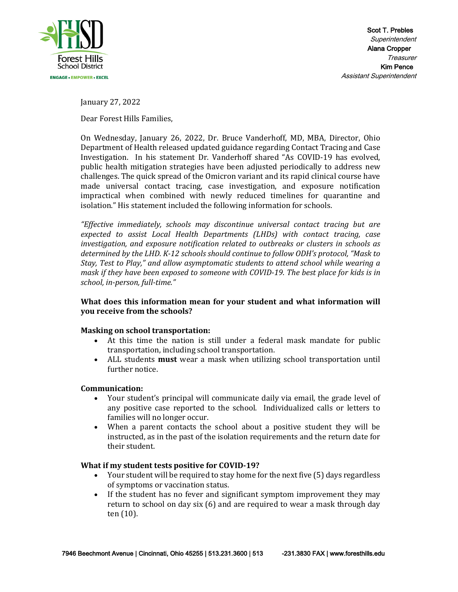

January 27, 2022

Dear Forest Hills Families,

On Wednesday, January 26, 2022, Dr. Bruce Vanderhoff, MD, MBA, Director, Ohio Department of Health released updated guidance regarding Contact Tracing and Case Investigation. In his statement Dr. Vanderhoff shared "As COVID-19 has evolved, public health mitigation strategies have been adjusted periodically to address new challenges. The quick spread of the Omicron variant and its rapid clinical course have made universal contact tracing, case investigation, and exposure notification impractical when combined with newly reduced timelines for quarantine and isolation." His statement included the following information for schools.

*"Effective immediately, schools may discontinue universal contact tracing but are expected to assist Local Health Departments (LHDs) with contact tracing, case investigation, and exposure notification related to outbreaks or clusters in schools as determined by the LHD. K-12 schools should continue to follow ODH's protocol, "Mask to Stay, Test to Play," and allow asymptomatic students to attend school while wearing a mask if they have been exposed to someone with COVID-19. The best place for kids is in school, in-person, full-time."*

# **What does this information mean for your student and what information will you receive from the schools?**

## **Masking on school transportation:**

- At this time the nation is still under a federal mask mandate for public transportation, including school transportation.
- ALL students **must** wear a mask when utilizing school transportation until further notice.

## **Communication:**

- Your student's principal will communicate daily via email, the grade level of any positive case reported to the school. Individualized calls or letters to families will no longer occur.
- When a parent contacts the school about a positive student they will be instructed, as in the past of the isolation requirements and the return date for their student.

## **What if my student tests positive for COVID-19?**

- Your student will be required to stay home for the next five (5) days regardless of symptoms or vaccination status.
- If the student has no fever and significant symptom improvement they may return to school on day six (6) and are required to wear a mask through day ten (10).